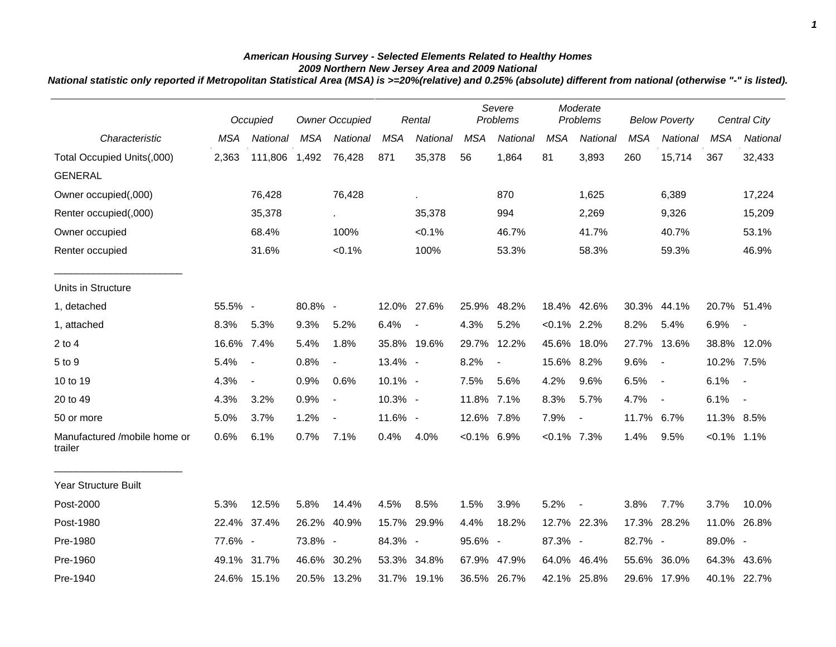## *American Housing Survey - Selected Elements Related to Healthy Homes 2009 Northern New Jersey Area and 2009 National*

*National statistic only reported if Metropolitan Statistical Area (MSA) is >=20%(relative) and 0.25% (absolute) different from national (otherwise "-" is listed).*

|                                         |            | Occupied                 |            | <b>Owner Occupied</b>       |            | Rental                   |                | Severe<br>Problems |                | Moderate<br>Problems     |            | <b>Below Poverty</b>     |                | Central City             |
|-----------------------------------------|------------|--------------------------|------------|-----------------------------|------------|--------------------------|----------------|--------------------|----------------|--------------------------|------------|--------------------------|----------------|--------------------------|
| Characteristic                          | <b>MSA</b> | National                 | <b>MSA</b> | National                    | <b>MSA</b> | National                 | <b>MSA</b>     | <b>National</b>    | <b>MSA</b>     | National                 | <b>MSA</b> | National                 | <b>MSA</b>     | National                 |
| Total Occupied Units(,000)              | 2,363      | 111,806                  | 1,492      | 76,428                      | 871        | 35,378                   | 56             | 1,864              | 81             | 3,893                    | 260        | 15,714                   | 367            | 32,433                   |
| <b>GENERAL</b>                          |            |                          |            |                             |            |                          |                |                    |                |                          |            |                          |                |                          |
| Owner occupied(,000)                    |            | 76,428                   |            | 76,428                      |            | à.                       |                | 870                |                | 1,625                    |            | 6,389                    |                | 17,224                   |
| Renter occupied(,000)                   |            | 35,378                   |            | $\mathcal{L}_{\mathcal{A}}$ |            | 35,378                   |                | 994                |                | 2,269                    |            | 9,326                    |                | 15,209                   |
| Owner occupied                          |            | 68.4%                    |            | 100%                        |            | $< 0.1\%$                |                | 46.7%              |                | 41.7%                    |            | 40.7%                    |                | 53.1%                    |
| Renter occupied                         |            | 31.6%                    |            | $< 0.1\%$                   |            | 100%                     |                | 53.3%              |                | 58.3%                    |            | 59.3%                    |                | 46.9%                    |
| Units in Structure                      |            |                          |            |                             |            |                          |                |                    |                |                          |            |                          |                |                          |
| 1, detached                             | 55.5% -    |                          | 80.8% -    |                             |            | 12.0% 27.6%              | 25.9%          | 48.2%              |                | 18.4% 42.6%              |            | 30.3% 44.1%              | 20.7% 51.4%    |                          |
| 1, attached                             | 8.3%       | 5.3%                     | 9.3%       | 5.2%                        | 6.4%       | $\overline{\phantom{a}}$ | 4.3%           | 5.2%               | $< 0.1\%$ 2.2% |                          | 8.2%       | 5.4%                     | 6.9%           | $\overline{\phantom{a}}$ |
| $2$ to $4$                              | 16.6% 7.4% |                          | 5.4%       | 1.8%                        |            | 35.8% 19.6%              | 29.7%          | 12.2%              | 45.6%          | 18.0%                    | 27.7%      | 13.6%                    | 38.8% 12.0%    |                          |
| 5 to 9                                  | 5.4%       | $\overline{\phantom{a}}$ | 0.8%       | $\overline{\phantom{a}}$    | 13.4% -    |                          | 8.2%           | $\blacksquare$     | 15.6% 8.2%     |                          | 9.6%       | $\blacksquare$           | 10.2% 7.5%     |                          |
| 10 to 19                                | 4.3%       | $\blacksquare$           | 0.9%       | 0.6%                        | 10.1% -    |                          | 7.5%           | 5.6%               | 4.2%           | 9.6%                     | 6.5%       | $\blacksquare$           | 6.1%           | $\sim$                   |
| 20 to 49                                | 4.3%       | 3.2%                     | 0.9%       | $\blacksquare$              | 10.3% -    |                          | 11.8% 7.1%     |                    | 8.3%           | 5.7%                     | 4.7%       | $\overline{\phantom{a}}$ | 6.1%           | $\overline{\phantom{a}}$ |
| 50 or more                              | 5.0%       | 3.7%                     | 1.2%       | $\overline{\phantom{a}}$    | 11.6% -    |                          | 12.6% 7.8%     |                    | 7.9%           | $\blacksquare$           | 11.7% 6.7% |                          | 11.3% 8.5%     |                          |
| Manufactured /mobile home or<br>trailer | 0.6%       | 6.1%                     | 0.7%       | 7.1%                        | 0.4%       | 4.0%                     | $< 0.1\%$ 6.9% |                    | $< 0.1\%$ 7.3% |                          | 1.4%       | 9.5%                     | $< 0.1\%$ 1.1% |                          |
| <b>Year Structure Built</b>             |            |                          |            |                             |            |                          |                |                    |                |                          |            |                          |                |                          |
| Post-2000                               | 5.3%       | 12.5%                    | 5.8%       | 14.4%                       | 4.5%       | 8.5%                     | 1.5%           | 3.9%               | 5.2%           | $\overline{\phantom{a}}$ | 3.8%       | 7.7%                     | 3.7%           | 10.0%                    |
| Post-1980                               | 22.4%      | 37.4%                    | 26.2%      | 40.9%                       |            | 15.7% 29.9%              | 4.4%           | 18.2%              |                | 12.7% 22.3%              | 17.3%      | 28.2%                    | 11.0%          | 26.8%                    |
| Pre-1980                                | 77.6% -    |                          | 73.8% -    |                             | 84.3% -    |                          | 95.6% -        |                    | 87.3% -        |                          | 82.7% -    |                          | 89.0% -        |                          |
| Pre-1960                                |            | 49.1% 31.7%              |            | 46.6% 30.2%                 |            | 53.3% 34.8%              | 67.9%          | 47.9%              | 64.0%          | 46.4%                    |            | 55.6% 36.0%              | 64.3%          | 43.6%                    |
| Pre-1940                                |            | 24.6% 15.1%              |            | 20.5% 13.2%                 |            | 31.7% 19.1%              |                | 36.5% 26.7%        |                | 42.1% 25.8%              |            | 29.6% 17.9%              |                | 40.1% 22.7%              |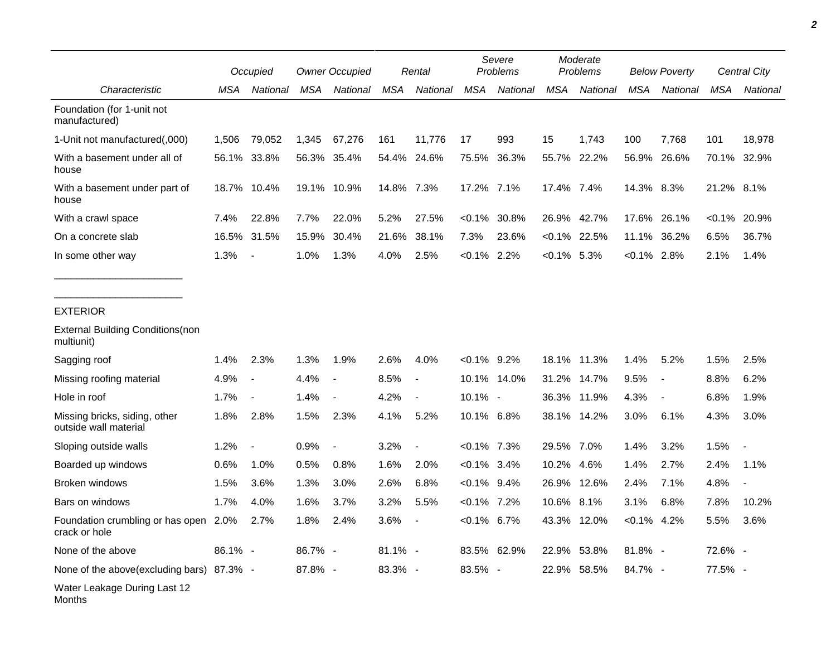|                                                        |         | Occupied                 |            | <b>Owner Occupied</b>    |            | Rental                   |                | Severe<br>Problems |               | Moderate<br>Problems |                | <b>Below Poverty</b>     |            | Central City |
|--------------------------------------------------------|---------|--------------------------|------------|--------------------------|------------|--------------------------|----------------|--------------------|---------------|----------------------|----------------|--------------------------|------------|--------------|
| Characteristic                                         | MSA     | National                 | <b>MSA</b> | National                 | MSA        | National                 | <b>MSA</b>     | National           | <b>MSA</b>    | National             | <b>MSA</b>     | National                 | <b>MSA</b> | National     |
| Foundation (for 1-unit not<br>manufactured)            |         |                          |            |                          |            |                          |                |                    |               |                      |                |                          |            |              |
| 1-Unit not manufactured(,000)                          | 1,506   | 79,052                   | 1,345      | 67,276                   | 161        | 11,776                   | 17             | 993                | 15            | 1,743                | 100            | 7,768                    | 101        | 18,978       |
| With a basement under all of<br>house                  | 56.1%   | 33.8%                    |            | 56.3% 35.4%              |            | 54.4% 24.6%              | 75.5%          | 36.3%              |               | 55.7% 22.2%          | 56.9%          | 26.6%                    |            | 70.1% 32.9%  |
| With a basement under part of<br>house                 | 18.7%   | 10.4%                    |            | 19.1% 10.9%              | 14.8% 7.3% |                          | 17.2% 7.1%     |                    | 17.4% 7.4%    |                      | 14.3% 8.3%     |                          | 21.2%      | 8.1%         |
| With a crawl space                                     | 7.4%    | 22.8%                    | 7.7%       | 22.0%                    | 5.2%       | 27.5%                    | $< 0.1\%$      | 30.8%              | 26.9%         | 42.7%                | 17.6%          | 26.1%                    | $< 0.1\%$  | 20.9%        |
| On a concrete slab                                     | 16.5%   | 31.5%                    | 15.9%      | 30.4%                    | 21.6%      | 38.1%                    | 7.3%           | 23.6%              |               | $< 0.1\%$ 22.5%      | 11.1%          | 36.2%                    | 6.5%       | 36.7%        |
| In some other way                                      | 1.3%    | $\blacksquare$           | 1.0%       | 1.3%                     | 4.0%       | 2.5%                     | $< 0.1\%$ 2.2% |                    | $<0.1\%$ 5.3% |                      | $< 0.1\%$ 2.8% |                          | 2.1%       | 1.4%         |
| <b>EXTERIOR</b>                                        |         |                          |            |                          |            |                          |                |                    |               |                      |                |                          |            |              |
| <b>External Building Conditions (non</b><br>multiunit) |         |                          |            |                          |            |                          |                |                    |               |                      |                |                          |            |              |
| Sagging roof                                           | 1.4%    | 2.3%                     | 1.3%       | 1.9%                     | 2.6%       | 4.0%                     | $< 0.1\%$ 9.2% |                    | 18.1%         | 11.3%                | 1.4%           | 5.2%                     | 1.5%       | 2.5%         |
| Missing roofing material                               | 4.9%    | $\blacksquare$           | 4.4%       | $\blacksquare$           | 8.5%       | $\overline{\phantom{a}}$ | 10.1%          | 14.0%              | 31.2%         | 14.7%                | 9.5%           | $\overline{\phantom{a}}$ | 8.8%       | 6.2%         |
| Hole in roof                                           | 1.7%    | $\overline{\phantom{a}}$ | 1.4%       |                          | 4.2%       | $\overline{\phantom{a}}$ | 10.1% -        |                    | 36.3%         | 11.9%                | 4.3%           | $\overline{\phantom{a}}$ | 6.8%       | 1.9%         |
| Missing bricks, siding, other<br>outside wall material | 1.8%    | 2.8%                     | 1.5%       | 2.3%                     | 4.1%       | 5.2%                     | 10.1% 6.8%     |                    | 38.1%         | 14.2%                | 3.0%           | 6.1%                     | 4.3%       | 3.0%         |
| Sloping outside walls                                  | 1.2%    | $\overline{\phantom{a}}$ | 0.9%       | $\overline{\phantom{a}}$ | 3.2%       | $\overline{\phantom{a}}$ | $< 0.1\%$ 7.3% |                    | 29.5% 7.0%    |                      | 1.4%           | 3.2%                     | 1.5%       |              |
| Boarded up windows                                     | 0.6%    | 1.0%                     | 0.5%       | 0.8%                     | 1.6%       | 2.0%                     | $< 0.1\%$ 3.4% |                    | 10.2%         | 4.6%                 | 1.4%           | 2.7%                     | 2.4%       | 1.1%         |
| Broken windows                                         | 1.5%    | 3.6%                     | 1.3%       | 3.0%                     | 2.6%       | 6.8%                     | $< 0.1\%$ 9.4% |                    | 26.9%         | 12.6%                | 2.4%           | 7.1%                     | 4.8%       |              |
| Bars on windows                                        | 1.7%    | 4.0%                     | 1.6%       | 3.7%                     | 3.2%       | 5.5%                     | $< 0.1\%$ 7.2% |                    | 10.6% 8.1%    |                      | 3.1%           | 6.8%                     | 7.8%       | 10.2%        |
| Foundation crumbling or has open<br>crack or hole      | 2.0%    | 2.7%                     | 1.8%       | 2.4%                     | 3.6%       |                          | $< 0.1\%$ 6.7% |                    |               | 43.3% 12.0%          | $< 0.1\%$ 4.2% |                          | 5.5%       | 3.6%         |
| None of the above                                      | 86.1% - |                          | 86.7% -    |                          | $81.1\% -$ |                          |                | 83.5% 62.9%        |               | 22.9% 53.8%          | 81.8% -        |                          | 72.6% -    |              |
| None of the above(excluding bars) 87.3% -              |         |                          | 87.8% -    |                          | 83.3% -    |                          | 83.5% -        |                    |               | 22.9% 58.5%          | 84.7% -        |                          | 77.5% -    |              |
| Water Leakage During Last 12<br>Months                 |         |                          |            |                          |            |                          |                |                    |               |                      |                |                          |            |              |

*2*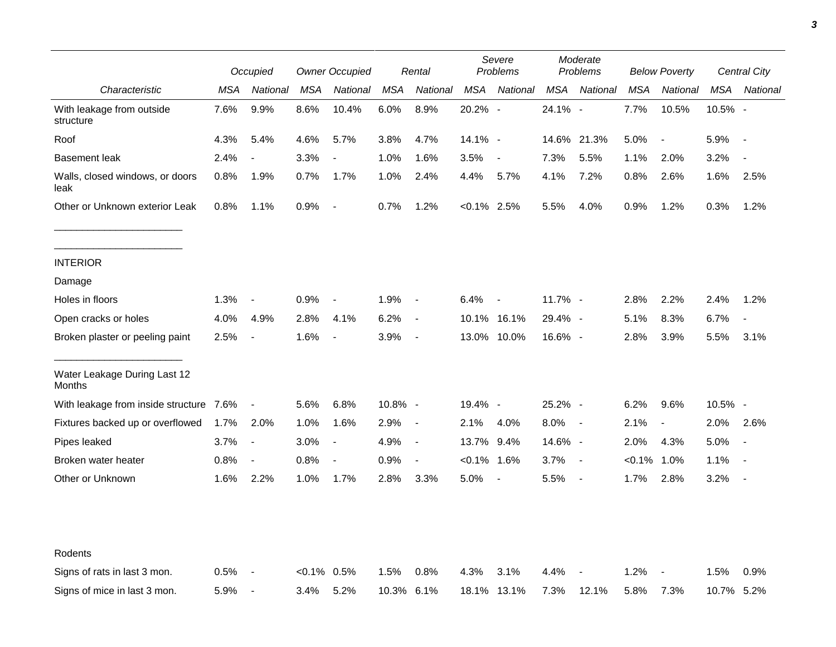|                                         |      | Occupied                 |               | <b>Owner Occupied</b>    |         | Rental                   |                | Severe<br>Problems       |         | Moderate<br>Problems |            | <b>Below Poverty</b>     |            | Central City             |
|-----------------------------------------|------|--------------------------|---------------|--------------------------|---------|--------------------------|----------------|--------------------------|---------|----------------------|------------|--------------------------|------------|--------------------------|
| Characteristic                          | MSA  | National                 | <b>MSA</b>    | National                 | MSA     | National                 | <b>MSA</b>     | National                 | MSA     | National             | <b>MSA</b> | National                 | <b>MSA</b> | National                 |
| With leakage from outside<br>structure  | 7.6% | 9.9%                     | 8.6%          | 10.4%                    | 6.0%    | 8.9%                     | 20.2% -        |                          | 24.1% - |                      | 7.7%       | 10.5%                    | 10.5% -    |                          |
| Roof                                    | 4.3% | 5.4%                     | 4.6%          | 5.7%                     | 3.8%    | 4.7%                     | 14.1% -        |                          |         | 14.6% 21.3%          | 5.0%       | $\overline{\phantom{a}}$ | 5.9%       | $\blacksquare$           |
| <b>Basement leak</b>                    | 2.4% | $\overline{\phantom{a}}$ | 3.3%          | $\overline{\phantom{a}}$ | 1.0%    | 1.6%                     | 3.5%           | $\overline{\phantom{a}}$ | 7.3%    | 5.5%                 | 1.1%       | 2.0%                     | 3.2%       |                          |
| Walls, closed windows, or doors<br>leak | 0.8% | 1.9%                     | 0.7%          | 1.7%                     | 1.0%    | 2.4%                     | 4.4%           | 5.7%                     | 4.1%    | 7.2%                 | 0.8%       | 2.6%                     | 1.6%       | 2.5%                     |
| Other or Unknown exterior Leak          | 0.8% | 1.1%                     | 0.9%          | $\overline{\phantom{a}}$ | 0.7%    | 1.2%                     | $< 0.1\%$ 2.5% |                          | 5.5%    | 4.0%                 | 0.9%       | 1.2%                     | 0.3%       | 1.2%                     |
| <b>INTERIOR</b>                         |      |                          |               |                          |         |                          |                |                          |         |                      |            |                          |            |                          |
| Damage                                  |      |                          |               |                          |         |                          |                |                          |         |                      |            |                          |            |                          |
| Holes in floors                         | 1.3% | $\overline{\phantom{a}}$ | 0.9%          | $\blacksquare$           | 1.9%    | $\overline{\phantom{a}}$ | 6.4%           |                          | 11.7% - |                      | 2.8%       | 2.2%                     | 2.4%       | 1.2%                     |
| Open cracks or holes                    | 4.0% | 4.9%                     | 2.8%          | 4.1%                     | 6.2%    | $\overline{\phantom{a}}$ |                | 10.1% 16.1%              | 29.4% - |                      | 5.1%       | 8.3%                     | 6.7%       | $\overline{\phantom{a}}$ |
| Broken plaster or peeling paint         | 2.5% | $\overline{\phantom{a}}$ | 1.6%          | $\overline{\phantom{a}}$ | 3.9%    | $\overline{\phantom{a}}$ |                | 13.0% 10.0%              | 16.6% - |                      | 2.8%       | 3.9%                     | 5.5%       | 3.1%                     |
| Water Leakage During Last 12<br>Months  |      |                          |               |                          |         |                          |                |                          |         |                      |            |                          |            |                          |
| With leakage from inside structure 7.6% |      | $\blacksquare$           | 5.6%          | 6.8%                     | 10.8% - |                          | 19.4% -        |                          | 25.2% - |                      | 6.2%       | 9.6%                     | 10.5% -    |                          |
| Fixtures backed up or overflowed        | 1.7% | 2.0%                     | 1.0%          | 1.6%                     | 2.9%    | $\overline{\phantom{a}}$ | 2.1%           | 4.0%                     | 8.0%    | $\blacksquare$       | 2.1%       | $\overline{\phantom{a}}$ | 2.0%       | 2.6%                     |
| Pipes leaked                            | 3.7% | $\overline{\phantom{a}}$ | 3.0%          | $\blacksquare$           | 4.9%    | $\blacksquare$           | 13.7% 9.4%     |                          | 14.6% - |                      | 2.0%       | 4.3%                     | 5.0%       |                          |
| Broken water heater                     | 0.8% | $\overline{\phantom{a}}$ | 0.8%          | $\blacksquare$           | 0.9%    | $\overline{\phantom{a}}$ | $< 0.1\%$ 1.6% |                          | 3.7%    | $\blacksquare$       | $< 0.1\%$  | 1.0%                     | 1.1%       | $\sim$                   |
| Other or Unknown                        | 1.6% | 2.2%                     | 1.0%          | 1.7%                     | 2.8%    | 3.3%                     | 5.0%           | $\sim$                   | 5.5%    | $\blacksquare$       | 1.7%       | 2.8%                     | 3.2%       |                          |
| Rodents                                 |      |                          |               |                          |         |                          |                |                          |         |                      |            |                          |            |                          |
| Signs of rats in last 3 mon.            | 0.5% | $\blacksquare$           | $<0.1\%$ 0.5% |                          | 1.5%    | 0.8%                     | 4.3%           | 3.1%                     | 4.4%    |                      | 1.2%       |                          | 1.5%       | 0.9%                     |
| Signs of mice in last 3 mon.            | 5.9% | $\overline{\phantom{a}}$ | 3.4%          | 5.2%                     | 10.3%   | 6.1%                     |                | 18.1% 13.1%              | 7.3%    | 12.1%                | 5.8%       | 7.3%                     | 10.7% 5.2% |                          |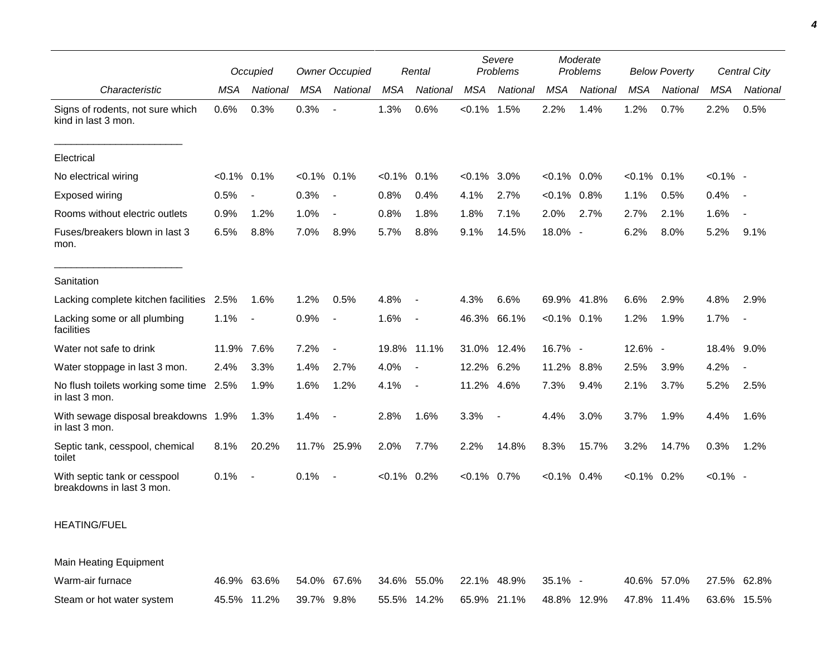|                                                           |            | Occupied                 |                | <b>Owner Occupied</b>    |                | Rental                   |            | Severe<br>Problems |                | Moderate<br>Problems |                | <b>Below Poverty</b> |             | Central City             |
|-----------------------------------------------------------|------------|--------------------------|----------------|--------------------------|----------------|--------------------------|------------|--------------------|----------------|----------------------|----------------|----------------------|-------------|--------------------------|
| Characteristic                                            | <b>MSA</b> | National                 | <b>MSA</b>     | National                 | <b>MSA</b>     | National                 | <b>MSA</b> | National           | <b>MSA</b>     | National             | <b>MSA</b>     | National             | <b>MSA</b>  | National                 |
| Signs of rodents, not sure which<br>kind in last 3 mon.   | 0.6%       | 0.3%                     | 0.3%           | $\overline{\phantom{a}}$ | 1.3%           | 0.6%                     | $< 0.1\%$  | 1.5%               | 2.2%           | 1.4%                 | 1.2%           | 0.7%                 | 2.2%        | 0.5%                     |
| Electrical                                                |            |                          |                |                          |                |                          |            |                    |                |                      |                |                      |             |                          |
| No electrical wiring                                      | $< 0.1\%$  | 0.1%                     | $< 0.1\%$ 0.1% |                          | $< 0.1\%$      | 0.1%                     | $< 0.1\%$  | 3.0%               | $< 0.1\%$ 0.0% |                      | $< 0.1\%$ 0.1% |                      | $< 0.1\%$ - |                          |
| Exposed wiring                                            | 0.5%       | $\overline{\phantom{a}}$ | 0.3%           | $\overline{\phantom{a}}$ | 0.8%           | 0.4%                     | 4.1%       | 2.7%               | $< 0.1\%$      | 0.8%                 | 1.1%           | 0.5%                 | 0.4%        | $\sim$                   |
| Rooms without electric outlets                            | 0.9%       | 1.2%                     | 1.0%           | $\overline{\phantom{a}}$ | 0.8%           | 1.8%                     | 1.8%       | 7.1%               | 2.0%           | 2.7%                 | 2.7%           | 2.1%                 | 1.6%        |                          |
| Fuses/breakers blown in last 3<br>mon.                    | 6.5%       | 8.8%                     | 7.0%           | 8.9%                     | 5.7%           | 8.8%                     | 9.1%       | 14.5%              | $18.0\%$ -     |                      | 6.2%           | 8.0%                 | 5.2%        | 9.1%                     |
| Sanitation                                                |            |                          |                |                          |                |                          |            |                    |                |                      |                |                      |             |                          |
| Lacking complete kitchen facilities                       | 2.5%       | 1.6%                     | 1.2%           | 0.5%                     | 4.8%           | $\overline{\phantom{a}}$ | 4.3%       | 6.6%               | 69.9% 41.8%    |                      | 6.6%           | 2.9%                 | 4.8%        | 2.9%                     |
| Lacking some or all plumbing<br>facilities                | 1.1%       | $\blacksquare$           | 0.9%           |                          | 1.6%           | $\blacksquare$           | 46.3%      | 66.1%              | $< 0.1\%$ 0.1% |                      | 1.2%           | 1.9%                 | 1.7%        | $\overline{\phantom{a}}$ |
| Water not safe to drink                                   | 11.9% 7.6% |                          | 7.2%           | $\overline{\phantom{a}}$ |                | 19.8% 11.1%              |            | 31.0% 12.4%        | 16.7% -        |                      | 12.6% -        |                      | 18.4% 9.0%  |                          |
| Water stoppage in last 3 mon.                             | 2.4%       | 3.3%                     | 1.4%           | 2.7%                     | 4.0%           | $\overline{\phantom{a}}$ | 12.2%      | 6.2%               | 11.2% 8.8%     |                      | 2.5%           | 3.9%                 | 4.2%        |                          |
| No flush toilets working some time 2.5%<br>in last 3 mon. |            | 1.9%                     | 1.6%           | 1.2%                     | 4.1%           | $\overline{\phantom{a}}$ | 11.2%      | 4.6%               | 7.3%           | 9.4%                 | 2.1%           | 3.7%                 | 5.2%        | 2.5%                     |
| With sewage disposal breakdowns 1.9%<br>in last 3 mon.    |            | 1.3%                     | 1.4%           | $\sim$                   | 2.8%           | 1.6%                     | 3.3%       | $\blacksquare$     | 4.4%           | 3.0%                 | 3.7%           | 1.9%                 | 4.4%        | 1.6%                     |
| Septic tank, cesspool, chemical<br>toilet                 | 8.1%       | 20.2%                    |                | 11.7% 25.9%              | 2.0%           | 7.7%                     | 2.2%       | 14.8%              | 8.3%           | 15.7%                | 3.2%           | 14.7%                | 0.3%        | 1.2%                     |
| With septic tank or cesspool<br>breakdowns in last 3 mon. | 0.1%       | $\blacksquare$           | 0.1%           | $\overline{\phantom{a}}$ | $< 0.1\%$ 0.2% |                          | $< 0.1\%$  | 0.7%               | $< 0.1\%$ 0.4% |                      | $< 0.1\%$ 0.2% |                      | $< 0.1\%$ - |                          |

## HEATING/FUEL

Main Heating Equipment

| Warm-air furnace          | 46.9% 63.6% 54.0% 67.6% 34.6% 55.0% 22.1% 48.9% 35.1% - |  |  |  |  | 40.6% 57.0% 27.5% 62.8%                                     |  |
|---------------------------|---------------------------------------------------------|--|--|--|--|-------------------------------------------------------------|--|
| Steam or hot water system | 45.5% 11.2% 39.7% 9.8%                                  |  |  |  |  | 55.5% 14.2% 65.9% 21.1% 48.8% 12.9% 47.8% 11.4% 63.6% 15.5% |  |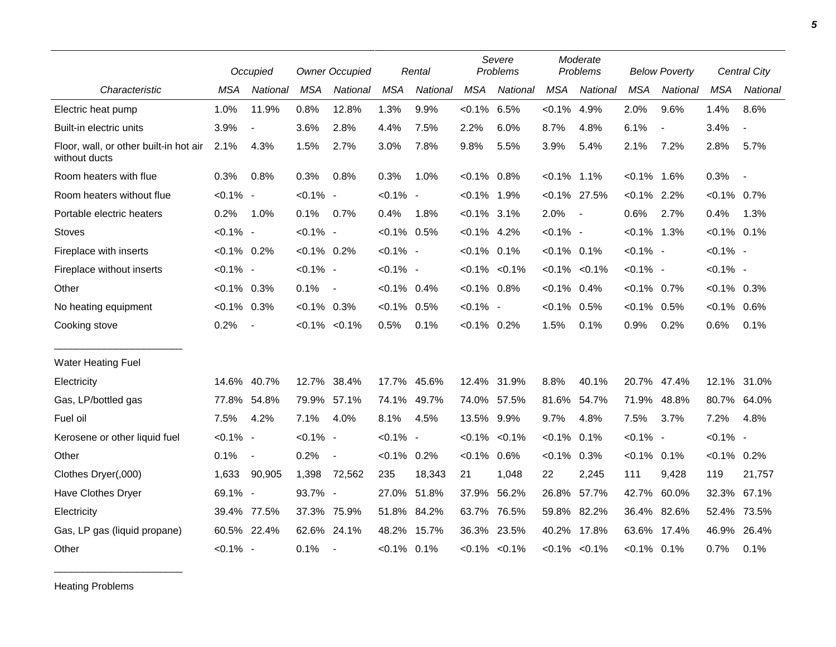|                                                         |                | Occupied                 |                   | <b>Owner Occupied</b>    |                | Rental      |                | Severe<br>Problems  |                | Moderate<br>Problems |                | <b>Below Poverty</b>     |                | Central City    |
|---------------------------------------------------------|----------------|--------------------------|-------------------|--------------------------|----------------|-------------|----------------|---------------------|----------------|----------------------|----------------|--------------------------|----------------|-----------------|
| Characteristic                                          | <b>MSA</b>     | National                 | <b>MSA</b>        | National                 | <b>MSA</b>     | National    | <b>MSA</b>     | National            | <b>MSA</b>     | National             | <b>MSA</b>     | National                 | <b>MSA</b>     | <b>National</b> |
| Electric heat pump                                      | 1.0%           | 11.9%                    | 0.8%              | 12.8%                    | 1.3%           | 9.9%        | $< 0.1\%$ 6.5% |                     | $< 0.1\%$      | 4.9%                 | 2.0%           | 9.6%                     | 1.4%           | 8.6%            |
| Built-in electric units                                 | 3.9%           | $\overline{\phantom{a}}$ | 3.6%              | 2.8%                     | 4.4%           | 7.5%        | 2.2%           | 6.0%                | 8.7%           | 4.8%                 | 6.1%           | $\overline{\phantom{a}}$ | 3.4%           | $\blacksquare$  |
| Floor, wall, or other built-in hot air<br>without ducts | 2.1%           | 4.3%                     | 1.5%              | 2.7%                     | 3.0%           | 7.8%        | 9.8%           | 5.5%                | 3.9%           | 5.4%                 | 2.1%           | 7.2%                     | 2.8%           | 5.7%            |
| Room heaters with flue                                  | 0.3%           | 0.8%                     | 0.3%              | 0.8%                     | 0.3%           | 1.0%        | $< 0.1\%$ 0.8% |                     | $< 0.1\%$ 1.1% |                      | $< 0.1\%$      | 1.6%                     | 0.3%           | $\sim$          |
| Room heaters without flue                               | $< 0.1\%$ -    |                          | $< 0.1\%$ -       |                          | $< 0.1\%$ -    |             | $< 0.1\%$ 1.9% |                     |                | $< 0.1\%$ 27.5%      | $< 0.1\%$ 2.2% |                          | $< 0.1\%$ 0.7% |                 |
| Portable electric heaters                               | 0.2%           | 1.0%                     | 0.1%              | 0.7%                     | 0.4%           | 1.8%        | $< 0.1\%$ 3.1% |                     | 2.0%           | $\sim$               | 0.6%           | 2.7%                     | 0.4%           | 1.3%            |
| <b>Stoves</b>                                           | $< 0.1\%$ -    |                          | $< 0.1\%$ -       |                          | $< 0.1\%$ 0.5% |             | $< 0.1\%$ 4.2% |                     | $< 0.1\%$ -    |                      | $< 0.1\%$ 1.3% |                          | $< 0.1\%$ 0.1% |                 |
| Fireplace with inserts                                  | $< 0.1\%$ 0.2% |                          | $< 0.1\%$ 0.2%    |                          | $< 0.1\%$ -    |             | $< 0.1\%$ 0.1% |                     | $< 0.1\%$ 0.1% |                      | $< 0.1\%$ -    |                          | $< 0.1\%$ -    |                 |
| Fireplace without inserts                               | $< 0.1\%$ -    |                          | $< 0.1\%$ -       |                          | $< 0.1\%$ -    |             |                | $< 0.1\%$ $< 0.1\%$ |                | $< 0.1\%$ $< 0.1\%$  | $< 0.1\%$ -    |                          | $< 0.1\%$ -    |                 |
| Other                                                   | $< 0.1\%$ 0.3% |                          | 0.1%              | $\sim$ $-$               | $< 0.1\%$ 0.4% |             | $< 0.1\%$ 0.8% |                     | $< 0.1\%$ 0.4% |                      | $< 0.1\%$ 0.7% |                          | $< 0.1\%$ 0.3% |                 |
| No heating equipment                                    | $< 0.1\%$ 0.3% |                          | $< 0.1\%$ 0.3%    |                          | $< 0.1\%$ 0.5% |             | $< 0.1\%$ -    |                     | $< 0.1\%$      | 0.5%                 | $< 0.1\%$ 0.5% |                          | $< 0.1\%$ 0.6% |                 |
| Cooking stove                                           | 0.2%           | $\overline{\phantom{a}}$ | $< 0.1\% < 0.1\%$ |                          | 0.5%           | 0.1%        | $< 0.1\%$ 0.2% |                     | 1.5%           | 0.1%                 | 0.9%           | 0.2%                     | 0.6%           | 0.1%            |
| <b>Water Heating Fuel</b>                               |                |                          |                   |                          |                |             |                |                     |                |                      |                |                          |                |                 |
| Electricity                                             | 14.6%          | 40.7%                    | 12.7% 38.4%       |                          |                | 17.7% 45.6% |                | 12.4% 31.9%         | 8.8%           | 40.1%                | 20.7%          | 47.4%                    | 12.1%          | 31.0%           |
| Gas, LP/bottled gas                                     | 77.8%          | 54.8%                    | 79.9% 57.1%       |                          |                | 74.1% 49.7% |                | 74.0% 57.5%         | 81.6%          | 54.7%                | 71.9%          | 48.8%                    | 80.7%          | 64.0%           |
| Fuel oil                                                | 7.5%           | 4.2%                     | 7.1%              | 4.0%                     | 8.1%           | 4.5%        | 13.5% 9.9%     |                     | 9.7%           | 4.8%                 | 7.5%           | 3.7%                     | 7.2%           | 4.8%            |
| Kerosene or other liquid fuel                           | $< 0.1\%$ -    |                          | $< 0.1\%$ -       |                          | $< 0.1\%$ -    |             |                | $< 0.1\%$ $< 0.1\%$ | $< 0.1\%$      | 0.1%                 | $< 0.1\%$ -    |                          | $< 0.1\%$ -    |                 |
| Other                                                   | 0.1%           | $\blacksquare$           | 0.2%              | $\overline{\phantom{a}}$ | $< 0.1\%$ 0.2% |             | $< 0.1\%$ 0.6% |                     | $< 0.1\%$      | 0.3%                 | $< 0.1\%$ 0.1% |                          | $< 0.1\%$ 0.2% |                 |
| Clothes Dryer(,000)                                     | 1,633          | 90,905                   | 1,398             | 72,562                   | 235            | 18,343      | 21             | 1,048               | 22             | 2,245                | 111            | 9,428                    | 119            | 21,757          |
| Have Clothes Dryer                                      | 69.1% -        |                          | 93.7% -           |                          |                | 27.0% 51.8% | 37.9%          | 56.2%               | 26.8%          | 57.7%                |                | 42.7% 60.0%              |                | 32.3% 67.1%     |
| Electricity                                             | 39.4%          | 77.5%                    | 37.3%             | 75.9%                    |                | 51.8% 84.2% | 63.7%          | 76.5%               | 59.8%          | 82.2%                |                | 36.4% 82.6%              | 52.4%          | 73.5%           |
| Gas, LP gas (liquid propane)                            | 60.5%          | 22.4%                    | 62.6% 24.1%       |                          |                | 48.2% 15.7% | 36.3%          | 23.5%               |                | 40.2% 17.8%          | 63.6%          | 17.4%                    | 46.9%          | 26.4%           |
| Other                                                   | $< 0.1\%$ -    |                          | 0.1%              |                          | $< 0.1\%$ 0.1% |             |                | $< 0.1\%$ $< 0.1\%$ |                | $< 0.1\%$ $< 0.1\%$  | $< 0.1\%$ 0.1% |                          | 0.7%           | 0.1%            |

Heating Problems

\_\_\_\_\_\_\_\_\_\_\_\_\_\_\_\_\_\_\_\_\_\_\_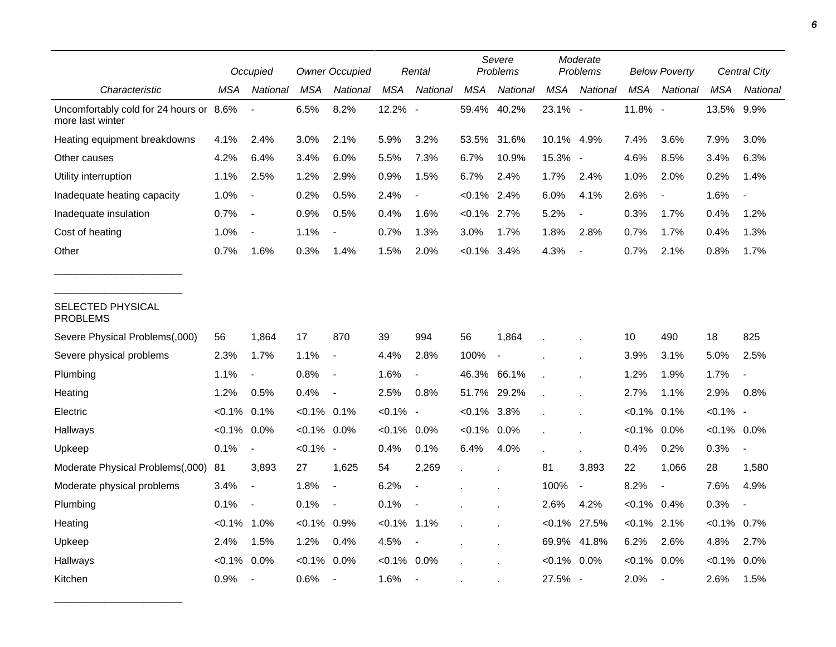|                                                             |                | Occupied                 |                | <b>Owner Occupied</b>    |                | Rental                   |                | Severe<br>Problems |                | Moderate<br>Problems |                | <b>Below Poverty</b>     |                | Central City |
|-------------------------------------------------------------|----------------|--------------------------|----------------|--------------------------|----------------|--------------------------|----------------|--------------------|----------------|----------------------|----------------|--------------------------|----------------|--------------|
| Characteristic                                              | MSA            | National                 | <b>MSA</b>     | National                 | <b>MSA</b>     | National                 | <b>MSA</b>     | National           | <b>MSA</b>     | National             | <b>MSA</b>     | National                 | <b>MSA</b>     | National     |
| Uncomfortably cold for 24 hours or 8.6%<br>more last winter |                |                          | 6.5%           | 8.2%                     | 12.2%          | $\overline{\phantom{a}}$ |                | 59.4% 40.2%        | 23.1% -        |                      | 11.8% -        |                          | 13.5% 9.9%     |              |
| Heating equipment breakdowns                                | 4.1%           | 2.4%                     | 3.0%           | 2.1%                     | 5.9%           | 3.2%                     | 53.5%          | 31.6%              | 10.1% 4.9%     |                      | 7.4%           | 3.6%                     | 7.9%           | 3.0%         |
| Other causes                                                | 4.2%           | 6.4%                     | 3.4%           | 6.0%                     | 5.5%           | 7.3%                     | 6.7%           | 10.9%              | 15.3% -        |                      | 4.6%           | 8.5%                     | 3.4%           | 6.3%         |
| Utility interruption                                        | 1.1%           | 2.5%                     | 1.2%           | 2.9%                     | 0.9%           | 1.5%                     | 6.7%           | 2.4%               | 1.7%           | 2.4%                 | 1.0%           | 2.0%                     | 0.2%           | 1.4%         |
| Inadequate heating capacity                                 | 1.0%           | $\overline{\phantom{a}}$ | 0.2%           | 0.5%                     | 2.4%           |                          | $< 0.1\%$ 2.4% |                    | 6.0%           | 4.1%                 | 2.6%           | $\blacksquare$           | 1.6%           |              |
| Inadequate insulation                                       | 0.7%           | $\blacksquare$           | 0.9%           | 0.5%                     | 0.4%           | 1.6%                     | $< 0.1\%$ 2.7% |                    | 5.2%           | $\blacksquare$       | 0.3%           | 1.7%                     | 0.4%           | 1.2%         |
| Cost of heating                                             | 1.0%           | $\blacksquare$           | 1.1%           |                          | 0.7%           | 1.3%                     | 3.0%           | 1.7%               | 1.8%           | 2.8%                 | 0.7%           | 1.7%                     | 0.4%           | 1.3%         |
| Other                                                       | 0.7%           | 1.6%                     | 0.3%           | 1.4%                     | 1.5%           | 2.0%                     | $< 0.1\%$      | 3.4%               | 4.3%           | $\overline{a}$       | 0.7%           | 2.1%                     | 0.8%           | 1.7%         |
| SELECTED PHYSICAL<br><b>PROBLEMS</b>                        |                |                          |                |                          |                |                          |                |                    |                |                      |                |                          |                |              |
| Severe Physical Problems(,000)                              | 56             | 1,864                    | 17             | 870                      | 39             | 994                      | 56             | 1,864              |                |                      | 10             | 490                      | 18             | 825          |
| Severe physical problems                                    | 2.3%           | 1.7%                     | 1.1%           | $\overline{\phantom{a}}$ | 4.4%           | 2.8%                     | 100%           | $\blacksquare$     |                |                      | 3.9%           | 3.1%                     | 5.0%           | 2.5%         |
| Plumbing                                                    | 1.1%           | $\blacksquare$           | 0.8%           | $\overline{\phantom{a}}$ | 1.6%           | $\blacksquare$           | 46.3% 66.1%    |                    |                |                      | 1.2%           | 1.9%                     | 1.7%           |              |
| Heating                                                     | 1.2%           | 0.5%                     | 0.4%           | $\overline{\phantom{a}}$ | 2.5%           | 0.8%                     | 51.7%          | 29.2%              |                |                      | 2.7%           | 1.1%                     | 2.9%           | 0.8%         |
| Electric                                                    | $< 0.1\%$ 0.1% |                          | $< 0.1\%$ 0.1% |                          | $< 0.1\%$ -    |                          | $< 0.1\%$ 3.8% |                    |                |                      | $< 0.1\%$      | 0.1%                     | $< 0.1\%$ -    |              |
| Hallways                                                    | $< 0.1\%$ 0.0% |                          | $< 0.1\%$ 0.0% |                          | $< 0.1\%$      | 0.0%                     | $< 0.1\%$ 0.0% |                    |                |                      | $< 0.1\%$      | 0.0%                     | $< 0.1\%$ 0.0% |              |
| Upkeep                                                      | 0.1%           | $\overline{\phantom{a}}$ | $< 0.1\%$ -    |                          | 0.4%           | 0.1%                     | 6.4%           | 4.0%               |                |                      | 0.4%           | 0.2%                     | 0.3%           |              |
| Moderate Physical Problems(,000)                            | 81             | 3,893                    | 27             | 1,625                    | 54             | 2,269                    | $\mathbf{r}$   |                    | 81             | 3,893                | 22             | 1,066                    | 28             | 1,580        |
| Moderate physical problems                                  | 3.4%           | $\overline{\phantom{a}}$ | 1.8%           | $\overline{a}$           | 6.2%           | $\overline{\phantom{a}}$ |                |                    | 100%           | $\blacksquare$       | 8.2%           | $\overline{\phantom{a}}$ | 7.6%           | 4.9%         |
| Plumbing                                                    | 0.1%           | $\overline{\phantom{a}}$ | 0.1%           | $\overline{\phantom{a}}$ | 0.1%           |                          |                |                    | 2.6%           | 4.2%                 | $< 0.1\%$ 0.4% |                          | 0.3%           |              |
| Heating                                                     | $< 0.1\%$ 1.0% |                          | $< 0.1\%$      | 0.9%                     | $< 0.1\%$ 1.1% |                          |                |                    |                | $< 0.1\%$ 27.5%      | $< 0.1\%$ 2.1% |                          | $< 0.1\%$      | 0.7%         |
| Upkeep                                                      | 2.4%           | 1.5%                     | 1.2%           | 0.4%                     | 4.5%           | $\overline{\phantom{a}}$ |                |                    | 69.9%          | 41.8%                | 6.2%           | 2.6%                     | 4.8%           | 2.7%         |
| Hallways                                                    | $<0.1\%$       | $0.0\%$                  | $< 0.1\%$      | 0.0%                     | $< 0.1\%$      | 0.0%                     |                |                    | $< 0.1\%$ 0.0% |                      | $< 0.1\%$ 0.0% |                          | $< 0.1\%$      | 0.0%         |
| Kitchen                                                     | 0.9%           | $\blacksquare$           | 0.6%           |                          | 1.6%           | $\sim$                   |                |                    | 27.5% -        |                      | 2.0%           | $\blacksquare$           | 2.6%           | 1.5%         |

\_\_\_\_\_\_\_\_\_\_\_\_\_\_\_\_\_\_\_\_\_\_\_